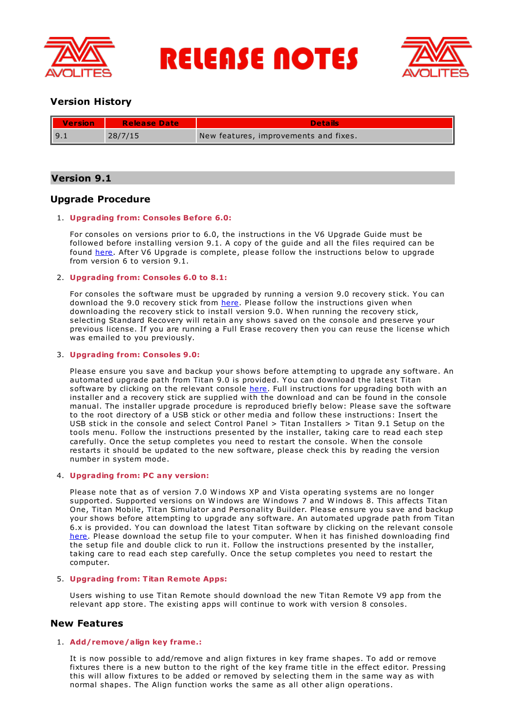

**RELEASE NOTES** 



# **Version History**

| II<br><b>Version</b> | Release Date | <b>Details</b>                        |
|----------------------|--------------|---------------------------------------|
| 19.1                 | 28/7/15      | New features, improvements and fixes. |

# **Version 9.1**

# **Upgrade Procedure**

## 1. **Upgrading from: Consoles Before 6.0:**

For consoles on versions prior to 6.0, the instructions in the V6 Upgrade Guide must be followed before installing version 9.1. A copy of the guide and all the files required can be found [here](http://www.avolites.com/V6Upgrade). After V6 Upgrade is complete, please follow the instructions below to upgrade from version 6 to version 9.1.

## 2. **Upgrading from: Consoles 6.0 to 8.1:**

For consoles the software must be upgraded by running a version 9.0 recovery stick. You can download the 9.0 recovery stick from [here](http://www.avolites.com/software/latest-version). Please follow the instructions given when downloading the recovery stick to install version 9.0. W hen running the recovery stick, selecting Standard Recovery will retain any shows saved on the console and preserve your previous license. If you are running a Full Erase recovery then you can reuse the license which was emailed to you previously.

## 3. **Upgrading from: Consoles 9.0:**

Please ensure you save and backup your shows before attempting to upgrade any software. An automated upgrade path from Titan 9.0 is provided. You can download the latest Titan software by clicking on the relevant console [here](http://www.avolites.com/software/latest-version). Full instructions for upgrading both with an installer and a recovery stick are supplied with the download and can be found in the console manual. The installer upgrade procedure is reproduced briefly below: Please save the software to the root directory of a USB stick or other media and follow these instructions: Insert the USB stick in the console and select Control Panel > Titan Installers > Titan 9.1 Setup on the tools menu. Follow the instructions presented by the installer, taking care to read each step carefully. Once the setup completes you need to restart the console. W hen the console restarts it should be updated to the new software, please check this by reading the version number in system mode.

## 4. **Upgrading from: PC any version:**

Please note that as of version 7.0 W indows XP and Vista operating systems are no longer supported. Supported versions on W indows are W indows 7 and W indows 8. This affects Titan One, Titan Mobile, Titan Simulator and Personality Builder. Please ensure you save and backup your shows before attempting to upgrade any software. An automated upgrade path from Titan 6.x is provided. You can download the latest Titan software by clicking on the relevant console [here](http://www.avolites.com/software/latest-version). Please download the setup file to your computer. When it has finished downloading find the setup file and double click to run it. Follow the instructions presented by the installer, taking care to read each step carefully. Once the setup completes you need to restart the computer.

## 5. **Upgrading from: Titan Remote Apps:**

Users wishing to use Titan Remote should download the new Titan Remote V9 app from the relevant app store. The existing apps will continue to work with version 8 consoles.

## **New Features**

## 1. **Add/remove/align key frame.:**

It is now possible to add/remove and align fixtures in key frame shapes. To add or remove fixtures there is a new button to the right of the key frame title in the effect editor. Pressing this will allow fixtures to be added or removed by selecting them in the same way as with normal shapes. The Align function works the same as all other align operations.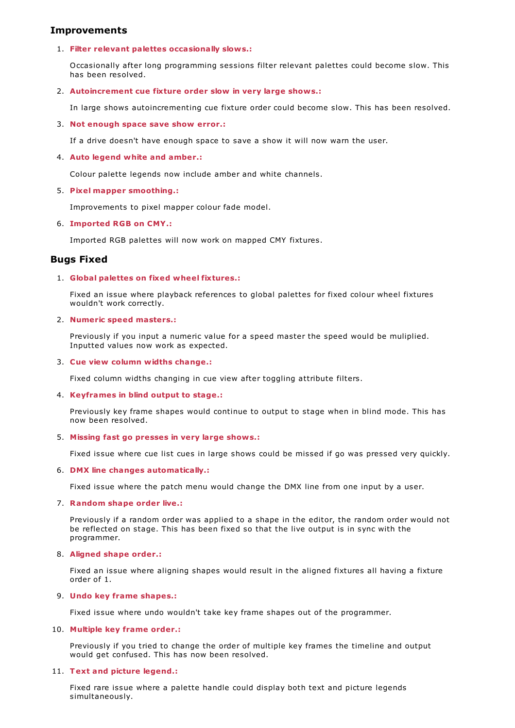# **Improvements**

## 1. **Filter relevant palettes occasionally slows.:**

Occasionally after long programming sessions filter relevant palettes could become slow. This has been resolved.

## 2. **Autoincrement cue fixture order slow in very large shows.:**

In large shows autoincrementing cue fixture order could become slow. This has been resolved.

## 3. **Not enough space save show error.:**

If a drive doesn't have enough space to save a show it will now warn the user.

## 4. **Auto legend white and amber.:**

Colour palette legends now include amber and white channels.

## 5. **Pixel mapper smoothing.:**

Improvements to pixel mapper colour fade model.

## 6. **Imported RGB on CMY.:**

Imported RGB palettes will now work on mapped CMY fixtures.

# **Bugs Fixed**

## 1. **Global palettes on fixed wheel fixtures.:**

Fixed an issue where playback references to global palettes for fixed colour wheel fixtures wouldn't work correctly.

## 2. **Numeric speed masters.:**

Previously if you input a numeric value for a speed master the speed would be muliplied. Inputted values now work as expected.

### 3. **Cue view column widths change.:**

Fixed column widths changing in cue view after toggling attribute filters.

## 4. **Keyframes in blind output to stage.:**

Previously key frame shapes would continue to output to stage when in blind mode. This has now been resolved.

## 5. **Missing fast go presses in very large shows.:**

Fixed issue where cue list cues in large shows could be missed if go was pressed very quickly.

## 6. **DMX line changes automatically.:**

Fixed issue where the patch menu would change the DMX line from one input by a user.

## 7. **Random shape order live.:**

Previously if a random order was applied to a shape in the editor, the random order would not be reflected on stage. This has been fixed so that the live output is in sync with the programmer.

## 8. **Aligned shape order.:**

Fixed an issue where aligning shapes would result in the aligned fixtures all having a fixture order of 1.

## 9. **Undo key frame shapes.:**

Fixed issue where undo wouldn't take key frame shapes out of the programmer.

## 10. **Multiple key frame order.:**

Previously if you tried to change the order of multiple key frames the timeline and output would get confused. This has now been resolved.

## 11. **Text and picture legend.:**

Fixed rare issue where a palette handle could display both text and picture legends simultaneously.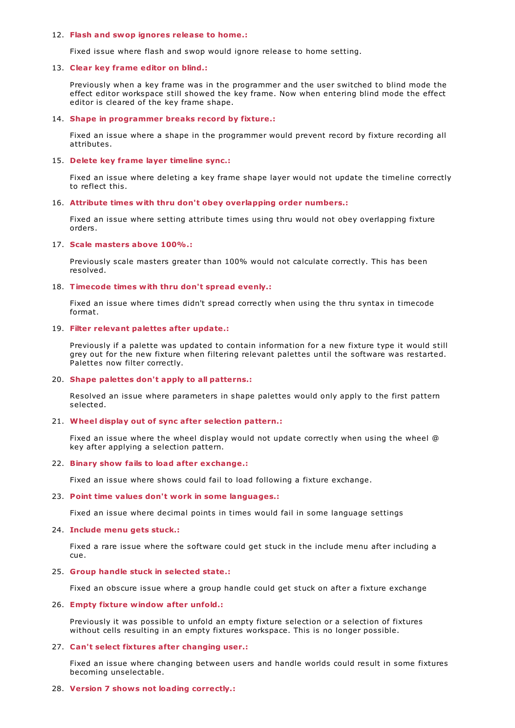#### 12. **Flash and swop ignores release to home.:**

Fixed issue where flash and swop would ignore release to home setting.

#### 13. **Clear key frame editor on blind.:**

Previously when a key frame was in the programmer and the user switched to blind mode the effect editor workspace still showed the key frame. Now when entering blind mode the effect editor is cleared of the key frame shape.

### 14. **Shape in programmer breaks record by fixture.:**

Fixed an issue where a shape in the programmer would prevent record by fixture recording all attributes.

### 15. **Delete key frame layer timeline sync.:**

Fixed an issue where deleting a key frame shape layer would not update the timeline correctly to reflect this.

### 16. **Attribute times with thru don't obey overlapping order numbers.:**

Fixed an issue where setting attribute times using thru would not obey overlapping fixture orders.

### 17. **Scale masters above 100%.:**

Previously scale masters greater than 100% would not calculate correctly. This has been resolved.

#### 18. **Timecode times with thru don't spread evenly.:**

Fixed an issue where times didn't spread correctly when using the thru syntax in timecode format.

### 19. **Filter relevant palettes after update.:**

Previously if a palette was updated to contain information for a new fixture type it would still grey out for the new fixture when filtering relevant palettes until the software was restarted. Palettes now filter correctly.

#### 20. **Shape palettes don't apply to all patterns.:**

Resolved an issue where parameters in shape palettes would only apply to the first pattern selected.

#### 21. **Wheel display out of sync after selection pattern.:**

Fixed an issue where the wheel display would not update correctly when using the wheel @ key after applying a selection pattern.

#### 22. **Binary show fails to load after exchange.:**

Fixed an issue where shows could fail to load following a fixture exchange.

#### 23. **Point time values don't work in some languages.:**

Fixed an issue where decimal points in times would fail in some language settings

## 24. **Include menu gets stuck.:**

Fixed a rare issue where the software could get stuck in the include menu after including a cue.

#### 25. **Group handle stuck in selected state.:**

Fixed an obscure issue where a group handle could get stuck on after a fixture exchange

## 26. **Empty fixture window after unfold.:**

Previously it was possible to unfold an empty fixture selection or a selection of fixtures without cells resulting in an empty fixtures workspace. This is no longer possible.

#### 27. **Can't select fixtures after changing user.:**

Fixed an issue where changing between users and handle worlds could result in some fixtures becoming unselectable.

### 28. **Version 7 shows not loading correctly.:**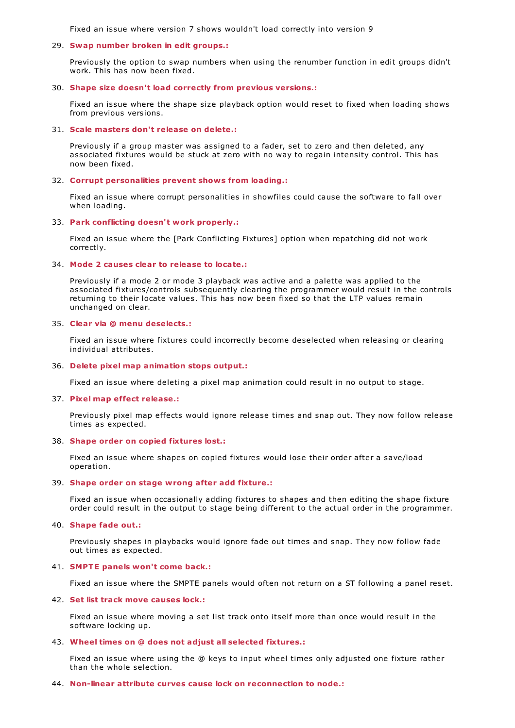Fixed an issue where version 7 shows wouldn't load correctly into version 9

### 29. **Swap number broken in edit groups.:**

Previously the option to swap numbers when using the renumber function in edit groups didn't work. This has now been fixed.

#### 30. **Shape size doesn't load correctly from previous versions.:**

Fixed an issue where the shape size playback option would reset to fixed when loading shows from previous versions.

#### 31. **Scale masters don't release on delete.:**

Previously if a group master was assigned to a fader, set to zero and then deleted, any associated fixtures would be stuck at zero with no way to regain intensity control. This has now been fixed.

### 32. **Corrupt personalities prevent shows from loading.:**

Fixed an issue where corrupt personalities in showfiles could cause the software to fall over when loading.

#### 33. **Park conflicting doesn't work properly.:**

Fixed an issue where the [Park Conflicting Fixtures] option when repatching did not work correctly.

### 34. **Mode 2 causes clear to release to locate.:**

Previously if a mode 2 or mode 3 playback was active and a palette was applied to the associated fixtures/controls subsequently clearing the programmer would result in the controls returning to their locate values. This has now been fixed so that the LTP values remain unchanged on clear.

#### 35. **Clear via @ menu deselects.:**

Fixed an issue where fixtures could incorrectly become deselected when releasing or clearing individual attributes.

#### 36. **Delete pixel map animation stops output.:**

Fixed an issue where deleting a pixel map animation could result in no output to stage.

### 37. **Pixel map effect release.:**

Previously pixel map effects would ignore release times and snap out. They now follow release times as expected.

#### 38. **Shape order on copied fixtures lost.:**

Fixed an issue where shapes on copied fixtures would lose their order after a save/load operation.

### 39. **Shape order on stage wrong after add fixture.:**

Fixed an issue when occasionally adding fixtures to shapes and then editing the shape fixture order could result in the output to stage being different to the actual order in the programmer.

### 40. **Shape fade out.:**

Previously shapes in playbacks would ignore fade out times and snap. They now follow fade out times as expected.

#### 41. **SMPTE panels won't come back.:**

Fixed an issue where the SMPTE panels would often not return on a ST following a panel reset.

#### 42. **Set list track move causes lock.:**

Fixed an issue where moving a set list track onto itself more than once would result in the software locking up.

### 43. **Wheel times on @ does not adjust all selected fixtures.:**

Fixed an issue where using the @ keys to input wheel times only adjusted one fixture rather than the whole selection.

#### 44. **Non-linear attribute curves cause lock on reconnection to node.:**